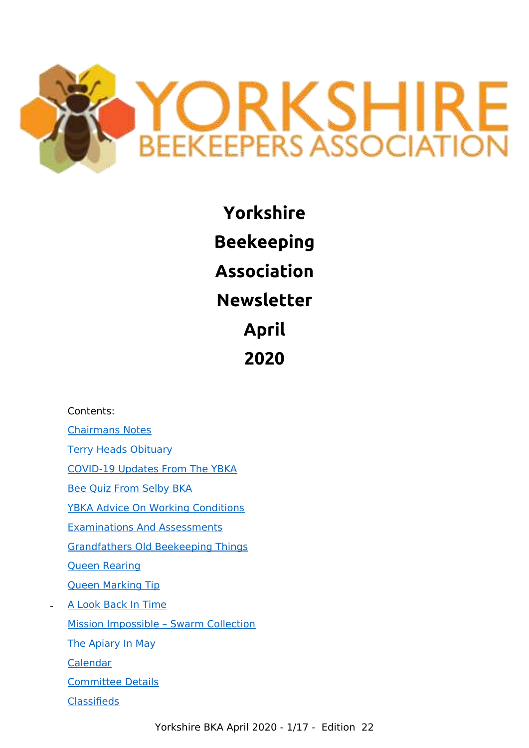

**Yorkshire Beekeeping Association Newsletter April 2020**

#### Contents:

[Chairmans Notes](#page-1-1) [Terry Heads Obituary](#page-1-0) [COVID-19 Updates From The YBKA](#page-3-2) [Bee Quiz From Selby BKA](#page-3-1) [YBKA Advice On Working Conditions](#page-3-0) [Examinations And Assessments](#page-4-0) [Grandfathers Old Beekeeping Things](#page-5-0) [Queen Rearing](#page-6-0) [Queen Marking Tip](#page-7-0) [A Look Back In Time](#page-8-0) [Mission Impossible – Swarm Collection](#page-9-0) [The Apiary In May](#page-10-0) [Calendar](#page-12-1) [Committee Details](#page-12-0) **[Classifieds](#page-13-0)**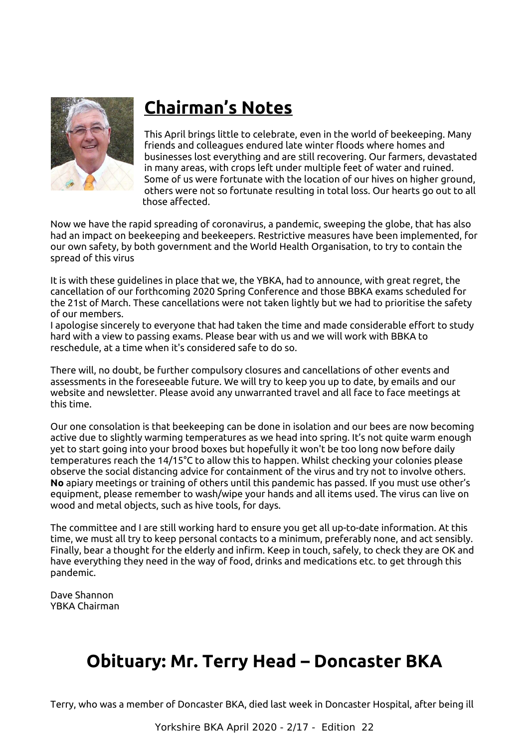

## <span id="page-1-1"></span>**Chairman's Notes**

This April brings little to celebrate, even in the world of beekeeping. Many friends and colleagues endured late winter floods where homes and businesses lost everything and are still recovering. Our farmers, devastated in many areas, with crops left under multiple feet of water and ruined. Some of us were fortunate with the location of our hives on higher ground, others were not so fortunate resulting in total loss. Our hearts go out to all those affected.

Now we have the rapid spreading of coronavirus, a pandemic, sweeping the globe, that has also had an impact on beekeeping and beekeepers. Restrictive measures have been implemented, for our own safety, by both government and the World Health Organisation, to try to contain the spread of this virus

It is with these guidelines in place that we, the YBKA, had to announce, with great regret, the cancellation of our forthcoming 2020 Spring Conference and those BBKA exams scheduled for the 21st of March. These cancellations were not taken lightly but we had to prioritise the safety of our members.

I apologise sincerely to everyone that had taken the time and made considerable effort to study hard with a view to passing exams. Please bear with us and we will work with BBKA to reschedule, at a time when it's considered safe to do so.

There will, no doubt, be further compulsory closures and cancellations of other events and assessments in the foreseeable future. We will try to keep you up to date, by emails and our website and newsletter. Please avoid any unwarranted travel and all face to face meetings at this time.

Our one consolation is that beekeeping can be done in isolation and our bees are now becoming active due to slightly warming temperatures as we head into spring. It's not quite warm enough yet to start going into your brood boxes but hopefully it won't be too long now before daily temperatures reach the 14/15°C to allow this to happen. Whilst checking your colonies please observe the social distancing advice for containment of the virus and try not to involve others. **No** apiary meetings or training of others until this pandemic has passed. If you must use other's equipment, please remember to wash/wipe your hands and all items used. The virus can live on wood and metal objects, such as hive tools, for days.

The committee and I are still working hard to ensure you get all up-to-date information. At this time, we must all try to keep personal contacts to a minimum, preferably none, and act sensibly. Finally, bear a thought for the elderly and infirm. Keep in touch, safely, to check they are OK and have everything they need in the way of food, drinks and medications etc. to get through this pandemic.

Dave Shannon YBKA Chairman

#### <span id="page-1-0"></span>**Obituary: Mr. Terry Head – Doncaster BKA**

Terry, who was a member of Doncaster BKA, died last week in Doncaster Hospital, after being ill

Yorkshire BKA April 2020 - 2/17 - Edition 22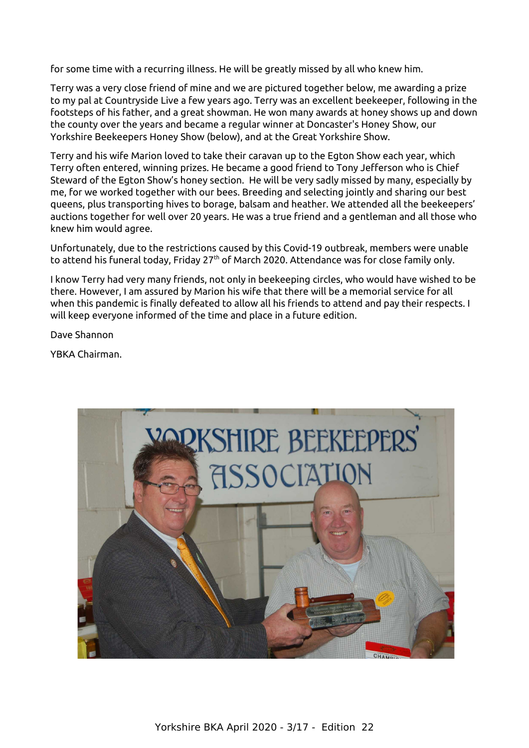for some time with a recurring illness. He will be greatly missed by all who knew him.

Terry was a very close friend of mine and we are pictured together below, me awarding a prize to my pal at Countryside Live a few years ago. Terry was an excellent beekeeper, following in the footsteps of his father, and a great showman. He won many awards at honey shows up and down the county over the years and became a regular winner at Doncaster's Honey Show, our Yorkshire Beekeepers Honey Show (below), and at the Great Yorkshire Show.

Terry and his wife Marion loved to take their caravan up to the Egton Show each year, which Terry often entered, winning prizes. He became a good friend to Tony Jefferson who is Chief Steward of the Egton Show's honey section. He will be very sadly missed by many, especially by me, for we worked together with our bees. Breeding and selecting jointly and sharing our best queens, plus transporting hives to borage, balsam and heather. We attended all the beekeepers' auctions together for well over 20 years. He was a true friend and a gentleman and all those who knew him would agree.

Unfortunately, due to the restrictions caused by this Covid-19 outbreak, members were unable to attend his funeral today, Friday 27<sup>th</sup> of March 2020. Attendance was for close family only.

I know Terry had very many friends, not only in beekeeping circles, who would have wished to be there. However, I am assured by Marion his wife that there will be a memorial service for all when this pandemic is finally defeated to allow all his friends to attend and pay their respects. I will keep everyone informed of the time and place in a future edition.

Dave Shannon

YBKA Chairman.

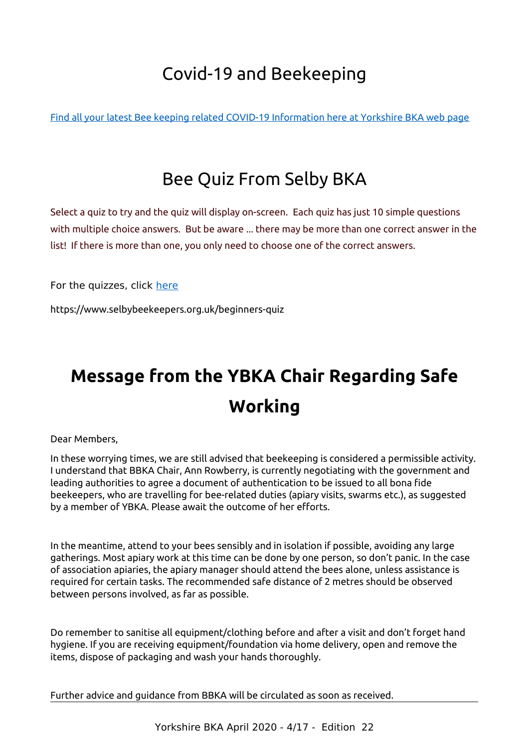## <span id="page-3-2"></span>Covid-19 and Beekeeping

[Find all your latest Bee keeping related COVID-19 Information here at Yorkshire BKA web page](https://ybka.org.uk/ybka-and-covid-19/)

#### <span id="page-3-1"></span>Bee Quiz From Selby BKA

Select a quiz to try and the quiz will display on-screen. Each quiz has just 10 simple questions with multiple choice answers. But be aware ... there may be more than one correct answer in the list! If there is more than one, you only need to choose one of the correct answers.

For the quizzes, click [here](https://www.selbybeekeepers.org.uk/beginners-quiz)

https://www.selbybeekeepers.org.uk/beginners-quiz

## <span id="page-3-0"></span>**Message from the YBKA Chair Regarding Safe Working**

Dear Members,

In these worrying times, we are still advised that beekeeping is considered a permissible activity. I understand that BBKA Chair, Ann Rowberry, is currently negotiating with the government and leading authorities to agree a document of authentication to be issued to all bona fide beekeepers, who are travelling for bee-related duties (apiary visits, swarms etc.), as suggested by a member of YBKA. Please await the outcome of her efforts.

In the meantime, attend to your bees sensibly and in isolation if possible, avoiding any large gatherings. Most apiary work at this time can be done by one person, so don't panic. In the case of association apiaries, the apiary manager should attend the bees alone, unless assistance is required for certain tasks. The recommended safe distance of 2 metres should be observed between persons involved, as far as possible.

Do remember to sanitise all equipment/clothing before and after a visit and don't forget hand hygiene. If you are receiving equipment/foundation via home delivery, open and remove the items, dispose of packaging and wash your hands thoroughly.

Further advice and guidance from BBKA will be circulated as soon as received.

Yorkshire BKA April 2020 - 4/17 - Edition 22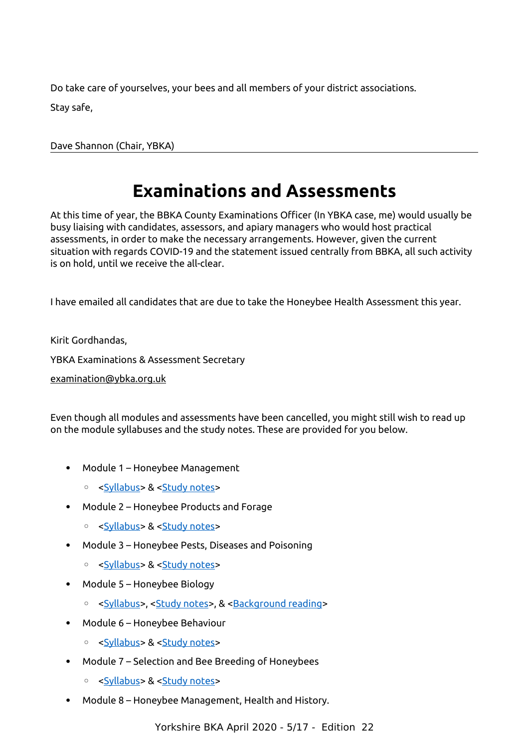Do take care of yourselves, your bees and all members of your district associations. Stay safe,

Dave Shannon (Chair, YBKA)

## <span id="page-4-0"></span>**Examinations and Assessments**

At this time of year, the BBKA County Examinations Officer (In YBKA case, me) would usually be busy liaising with candidates, assessors, and apiary managers who would host practical assessments, in order to make the necessary arrangements. However, given the current situation with regards COVID-19 and the statement issued centrally from BBKA, all such activity is on hold, until we receive the all-clear.

I have emailed all candidates that are due to take the Honeybee Health Assessment this year.

Kirit Gordhandas,

YBKA Examinations & Assessment Secretary

[examination@ybka.org.uk](mailto:examination@ybka.org.uk)

Even though all modules and assessments have been cancelled, you might still wish to read up on the module syllabuses and the study notes. These are provided for you below.

- Module 1 Honeybee Management
	- [<Syllabus>](https://www.bbka.org.uk/Handlers/Download.ashx?IDMF=d4326e7b-2284-4ce5-8ed5-9cc989ba26ac) & [<Study notes>](https://modulenotes.files.wordpress.com/2019/01/module-1-study-notes.pdf)
- Module 2 Honeybee Products and Forage
	- [<Syllabus>](https://www.bbka.org.uk/Handlers/Download.ashx?IDMF=4fbc6159-5a3c-40b2-ab92-322cebb0f2d9) & [<Study notes>](https://modulenotes.files.wordpress.com/2017/11/module-2-study-notes-0711173.pdf)
- Module 3 Honeybee Pests, Diseases and Poisoning
	- [<Syllabus>](https://www.bbka.org.uk/Handlers/Download.ashx?IDMF=97260e79-9812-467a-8758-894abe72cbe7) & [<Study notes>](https://modulenotes.files.wordpress.com/2018/01/module-3-study-notes-08012018.pdf)
- Module 5 Honeybee Biology
	- [<Syllabus>](https://www.bbka.org.uk/Handlers/Download.ashx?IDMF=1097d251-9306-4c60-b761-b1bdf984b79a), [<Study notes>](https://modulenotes.files.wordpress.com/2017/01/module-5-study-notes.pdf), & [<Background reading>](https://modulenotes.files.wordpress.com/2017/12/module-5-background-reading.pdf)
- Module 6 Honeybee Behaviour
	- [<Syllabus>](https://www.bbka.org.uk/Handlers/Download.ashx?IDMF=0190c065-96df-4e90-bdae-fc5c1fcf0b31) & [<Study notes>](https://modulenotes.files.wordpress.com/2011/02/module-6-study-notes.pdf)
- Module 7 Selection and Bee Breeding of Honeybees
	- [<Syllabus>](https://www.bbka.org.uk/Handlers/Download.ashx?IDMF=ac2d7049-d5c6-4322-b334-98caa167be8f) & [<Study notes>](https://modulenotes.files.wordpress.com/2011/02/module-7-study-notes.pdf)
- Module 8 Honeybee Management, Health and History.

Yorkshire BKA April 2020 - 5/17 - Edition 22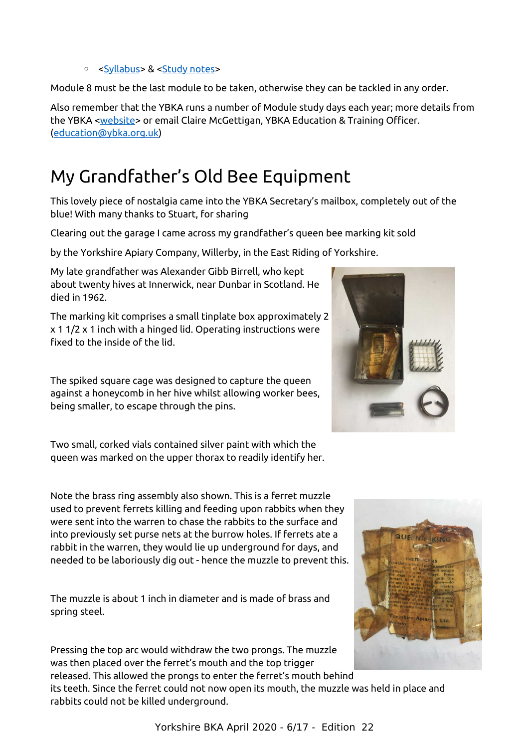#### ◦ [<Syllabus>](https://www.bbka.org.uk/Handlers/Download.ashx?IDMF=c8f7e19d-b4da-4d46-b15d-b285ec86a3f0) & [<Study notes>](https://modulenotes.files.wordpress.com/2017/11/module-8-study-notes-112017.pdf)

Module 8 must be the last module to be taken, otherwise they can be tackled in any order.

Also remember that the YBKA runs a number of Module study days each year; more details from the YBKA [<website>](https://ybka.org.uk/study-days/) or email Claire McGettigan, YBKA Education & Training Officer. [\(education@ybka.org.uk\)](mailto:education@ybka.org.uk)

## <span id="page-5-0"></span>My Grandfather's Old Bee Equipment

This lovely piece of nostalgia came into the YBKA Secretary's mailbox, completely out of the blue! With many thanks to Stuart, for sharing

Clearing out the garage I came across my grandfather's queen bee marking kit sold

by the Yorkshire Apiary Company, Willerby, in the East Riding of Yorkshire.

My late grandfather was Alexander Gibb Birrell, who kept about twenty hives at Innerwick, near Dunbar in Scotland. He died in 1962.

The marking kit comprises a small tinplate box approximately 2 x 1 1/2 x 1 inch with a hinged lid. Operating instructions were fixed to the inside of the lid.

The spiked square cage was designed to capture the queen against a honeycomb in her hive whilst allowing worker bees, being smaller, to escape through the pins.

Two small, corked vials contained silver paint with which the queen was marked on the upper thorax to readily identify her.

Note the brass ring assembly also shown. This is a ferret muzzle used to prevent ferrets killing and feeding upon rabbits when they were sent into the warren to chase the rabbits to the surface and into previously set purse nets at the burrow holes. If ferrets ate a rabbit in the warren, they would lie up underground for days, and needed to be laboriously dig out - hence the muzzle to prevent this.

The muzzle is about 1 inch in diameter and is made of brass and spring steel.

Pressing the top arc would withdraw the two prongs. The muzzle was then placed over the ferret's mouth and the top trigger released. This allowed the prongs to enter the ferret's mouth behind

its teeth. Since the ferret could not now open its mouth, the muzzle was held in place and rabbits could not be killed underground.





Yorkshire BKA April 2020 - 6/17 - Edition 22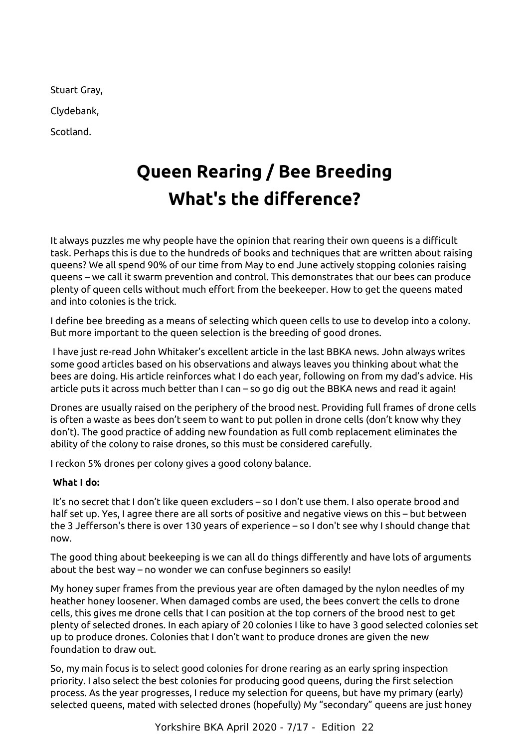Stuart Gray,

Clydebank,

Scotland.

## <span id="page-6-0"></span>**Queen Rearing / Bee Breeding What's the difference?**

It always puzzles me why people have the opinion that rearing their own queens is a difficult task. Perhaps this is due to the hundreds of books and techniques that are written about raising queens? We all spend 90% of our time from May to end June actively stopping colonies raising queens – we call it swarm prevention and control. This demonstrates that our bees can produce plenty of queen cells without much effort from the beekeeper. How to get the queens mated and into colonies is the trick.

I define bee breeding as a means of selecting which queen cells to use to develop into a colony. But more important to the queen selection is the breeding of good drones.

I have just re-read John Whitaker's excellent article in the last BBKA news. John always writes some good articles based on his observations and always leaves you thinking about what the bees are doing. His article reinforces what I do each year, following on from my dad's advice. His article puts it across much better than I can – so go dig out the BBKA news and read it again!

Drones are usually raised on the periphery of the brood nest. Providing full frames of drone cells is often a waste as bees don't seem to want to put pollen in drone cells (don't know why they don't). The good practice of adding new foundation as full comb replacement eliminates the ability of the colony to raise drones, so this must be considered carefully.

I reckon 5% drones per colony gives a good colony balance.

#### **What I do:**

 It's no secret that I don't like queen excluders – so I don't use them. I also operate brood and half set up. Yes, I agree there are all sorts of positive and negative views on this – but between the 3 Jefferson's there is over 130 years of experience – so I don't see why I should change that now.

The good thing about beekeeping is we can all do things differently and have lots of arguments about the best way – no wonder we can confuse beginners so easily!

My honey super frames from the previous year are often damaged by the nylon needles of my heather honey loosener. When damaged combs are used, the bees convert the cells to drone cells, this gives me drone cells that I can position at the top corners of the brood nest to get plenty of selected drones. In each apiary of 20 colonies I like to have 3 good selected colonies set up to produce drones. Colonies that I don't want to produce drones are given the new foundation to draw out.

So, my main focus is to select good colonies for drone rearing as an early spring inspection priority. I also select the best colonies for producing good queens, during the first selection process. As the year progresses, I reduce my selection for queens, but have my primary (early) selected queens, mated with selected drones (hopefully) My "secondary" queens are just honey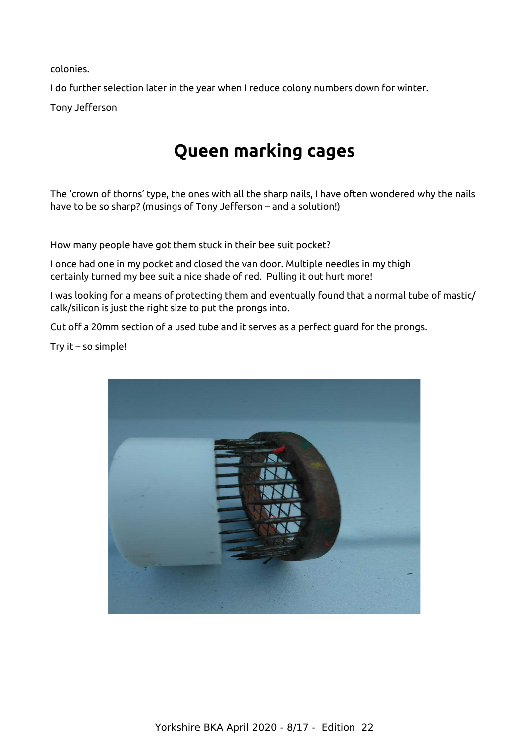colonies.

I do further selection later in the year when I reduce colony numbers down for winter. Tony Jefferson

## <span id="page-7-0"></span>**Queen marking cages**

The 'crown of thorns' type, the ones with all the sharp nails, I have often wondered why the nails have to be so sharp? (musings of Tony Jefferson – and a solution!)

How many people have got them stuck in their bee suit pocket?

I once had one in my pocket and closed the van door. Multiple needles in my thigh certainly turned my bee suit a nice shade of red. Pulling it out hurt more!

I was looking for a means of protecting them and eventually found that a normal tube of mastic/ calk/silicon is just the right size to put the prongs into.

Cut off a 20mm section of a used tube and it serves as a perfect guard for the prongs.

Try it – so simple!

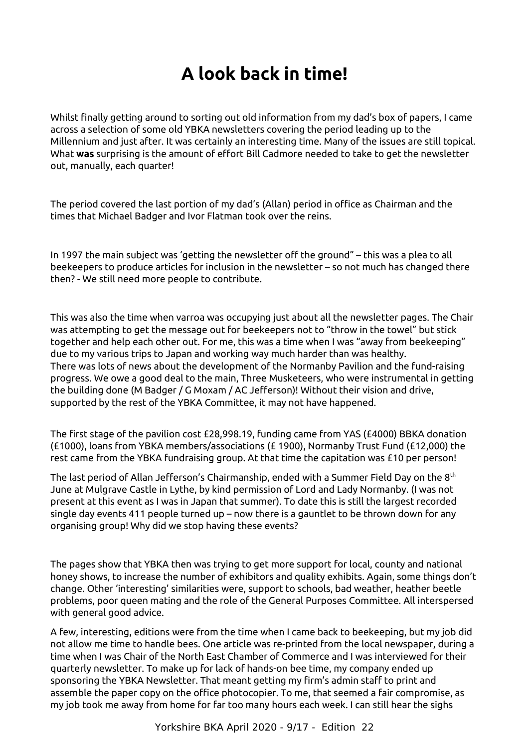## <span id="page-8-0"></span>**A look back in time!**

Whilst finally getting around to sorting out old information from my dad's box of papers, I came across a selection of some old YBKA newsletters covering the period leading up to the Millennium and just after. It was certainly an interesting time. Many of the issues are still topical. What **was** surprising is the amount of effort Bill Cadmore needed to take to get the newsletter out, manually, each quarter!

The period covered the last portion of my dad's (Allan) period in office as Chairman and the times that Michael Badger and Ivor Flatman took over the reins.

In 1997 the main subject was 'getting the newsletter off the ground" – this was a plea to all beekeepers to produce articles for inclusion in the newsletter – so not much has changed there then? - We still need more people to contribute.

This was also the time when varroa was occupying just about all the newsletter pages. The Chair was attempting to get the message out for beekeepers not to "throw in the towel" but stick together and help each other out. For me, this was a time when I was "away from beekeeping" due to my various trips to Japan and working way much harder than was healthy. There was lots of news about the development of the Normanby Pavilion and the fund-raising progress. We owe a good deal to the main, Three Musketeers, who were instrumental in getting the building done (M Badger / G Moxam / AC Jefferson)! Without their vision and drive, supported by the rest of the YBKA Committee, it may not have happened.

The first stage of the pavilion cost £28,998.19, funding came from YAS (£4000) BBKA donation (£1000), loans from YBKA members/associations (£ 1900), Normanby Trust Fund (£12,000) the rest came from the YBKA fundraising group. At that time the capitation was £10 per person!

The last period of Allan Jefferson's Chairmanship, ended with a Summer Field Day on the 8<sup>th</sup> June at Mulgrave Castle in Lythe, by kind permission of Lord and Lady Normanby. (I was not present at this event as I was in Japan that summer). To date this is still the largest recorded single day events 411 people turned up – now there is a gauntlet to be thrown down for any organising group! Why did we stop having these events?

The pages show that YBKA then was trying to get more support for local, county and national honey shows, to increase the number of exhibitors and quality exhibits. Again, some things don't change. Other 'interesting' similarities were, support to schools, bad weather, heather beetle problems, poor queen mating and the role of the General Purposes Committee. All interspersed with general good advice.

A few, interesting, editions were from the time when I came back to beekeeping, but my job did not allow me time to handle bees. One article was re-printed from the local newspaper, during a time when I was Chair of the North East Chamber of Commerce and I was interviewed for their quarterly newsletter. To make up for lack of hands-on bee time, my company ended up sponsoring the YBKA Newsletter. That meant getting my firm's admin staff to print and assemble the paper copy on the office photocopier. To me, that seemed a fair compromise, as my job took me away from home for far too many hours each week. I can still hear the sighs

Yorkshire BKA April 2020 - 9/17 - Edition 22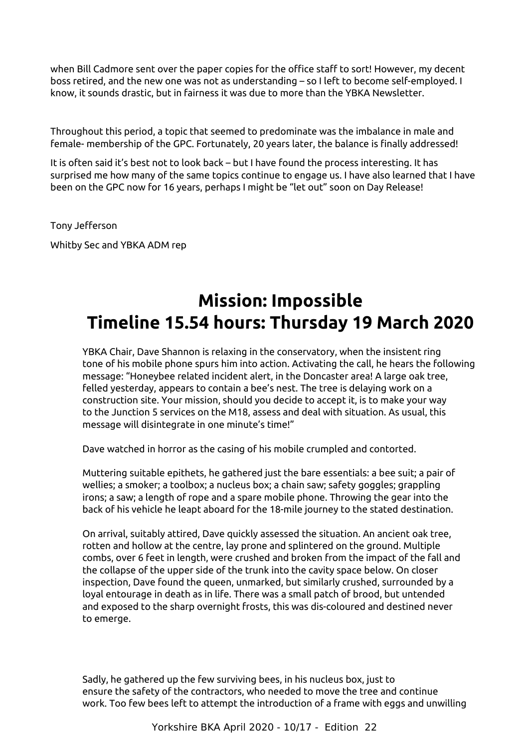when Bill Cadmore sent over the paper copies for the office staff to sort! However, my decent boss retired, and the new one was not as understanding – so I left to become self-employed. I know, it sounds drastic, but in fairness it was due to more than the YBKA Newsletter.

Throughout this period, a topic that seemed to predominate was the imbalance in male and female- membership of the GPC. Fortunately, 20 years later, the balance is finally addressed!

It is often said it's best not to look back – but I have found the process interesting. It has surprised me how many of the same topics continue to engage us. I have also learned that I have been on the GPC now for 16 years, perhaps I might be "let out" soon on Day Release!

Tony Jefferson

Whitby Sec and YBKA ADM rep

## <span id="page-9-0"></span>**Mission: Impossible Timeline 15.54 hours: Thursday 19 March 2020**

YBKA Chair, Dave Shannon is relaxing in the conservatory, when the insistent ring tone of his mobile phone spurs him into action. Activating the call, he hears the following message: "Honeybee related incident alert, in the Doncaster area! A large oak tree, felled yesterday, appears to contain a bee's nest. The tree is delaying work on a construction site. Your mission, should you decide to accept it, is to make your way to the Junction 5 services on the M18, assess and deal with situation. As usual, this message will disintegrate in one minute's time!"

Dave watched in horror as the casing of his mobile crumpled and contorted.

Muttering suitable epithets, he gathered just the bare essentials: a bee suit; a pair of wellies; a smoker; a toolbox; a nucleus box; a chain saw; safety goggles; grappling irons; a saw; a length of rope and a spare mobile phone. Throwing the gear into the back of his vehicle he leapt aboard for the 18-mile journey to the stated destination.

On arrival, suitably attired, Dave quickly assessed the situation. An ancient oak tree, rotten and hollow at the centre, lay prone and splintered on the ground. Multiple combs, over 6 feet in length, were crushed and broken from the impact of the fall and the collapse of the upper side of the trunk into the cavity space below. On closer inspection, Dave found the queen, unmarked, but similarly crushed, surrounded by a loyal entourage in death as in life. There was a small patch of brood, but untended and exposed to the sharp overnight frosts, this was dis-coloured and destined never to emerge.

Sadly, he gathered up the few surviving bees, in his nucleus box, just to ensure the safety of the contractors, who needed to move the tree and continue work. Too few bees left to attempt the introduction of a frame with eggs and unwilling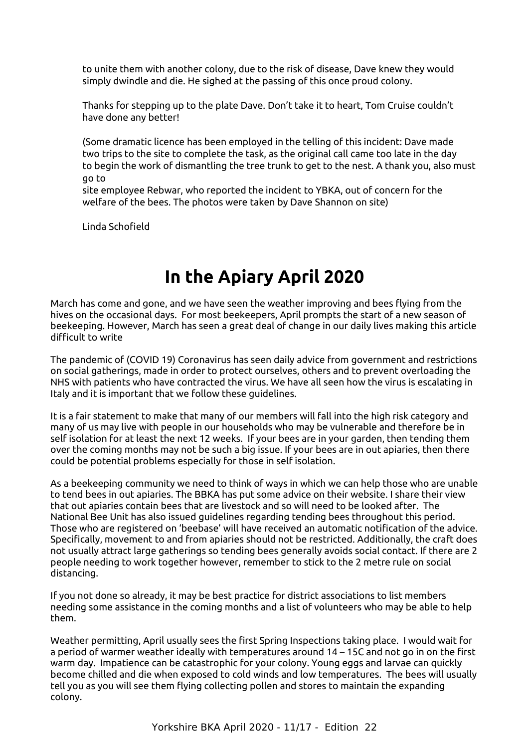to unite them with another colony, due to the risk of disease, Dave knew they would simply dwindle and die. He sighed at the passing of this once proud colony.

Thanks for stepping up to the plate Dave. Don't take it to heart, Tom Cruise couldn't have done any better!

(Some dramatic licence has been employed in the telling of this incident: Dave made two trips to the site to complete the task, as the original call came too late in the day to begin the work of dismantling the tree trunk to get to the nest. A thank you, also must go to

site employee Rebwar, who reported the incident to YBKA, out of concern for the welfare of the bees. The photos were taken by Dave Shannon on site)

Linda Schofield

### <span id="page-10-0"></span>**In the Apiary April 2020**

March has come and gone, and we have seen the weather improving and bees flying from the hives on the occasional days. For most beekeepers, April prompts the start of a new season of beekeeping. However, March has seen a great deal of change in our daily lives making this article difficult to write

The pandemic of (COVID 19) Coronavirus has seen daily advice from government and restrictions on social gatherings, made in order to protect ourselves, others and to prevent overloading the NHS with patients who have contracted the virus. We have all seen how the virus is escalating in Italy and it is important that we follow these guidelines.

It is a fair statement to make that many of our members will fall into the high risk category and many of us may live with people in our households who may be vulnerable and therefore be in self isolation for at least the next 12 weeks. If your bees are in your garden, then tending them over the coming months may not be such a big issue. If your bees are in out apiaries, then there could be potential problems especially for those in self isolation.

As a beekeeping community we need to think of ways in which we can help those who are unable to tend bees in out apiaries. The BBKA has put some advice on their website. I share their view that out apiaries contain bees that are livestock and so will need to be looked after. The National Bee Unit has also issued guidelines regarding tending bees throughout this period. Those who are registered on 'beebase' will have received an automatic notification of the advice. Specifically, movement to and from apiaries should not be restricted. Additionally, the craft does not usually attract large gatherings so tending bees generally avoids social contact. If there are 2 people needing to work together however, remember to stick to the 2 metre rule on social distancing.

If you not done so already, it may be best practice for district associations to list members needing some assistance in the coming months and a list of volunteers who may be able to help them.

Weather permitting, April usually sees the first Spring Inspections taking place. I would wait for a period of warmer weather ideally with temperatures around 14 – 15C and not go in on the first warm day. Impatience can be catastrophic for your colony. Young eggs and larvae can quickly become chilled and die when exposed to cold winds and low temperatures. The bees will usually tell you as you will see them flying collecting pollen and stores to maintain the expanding colony.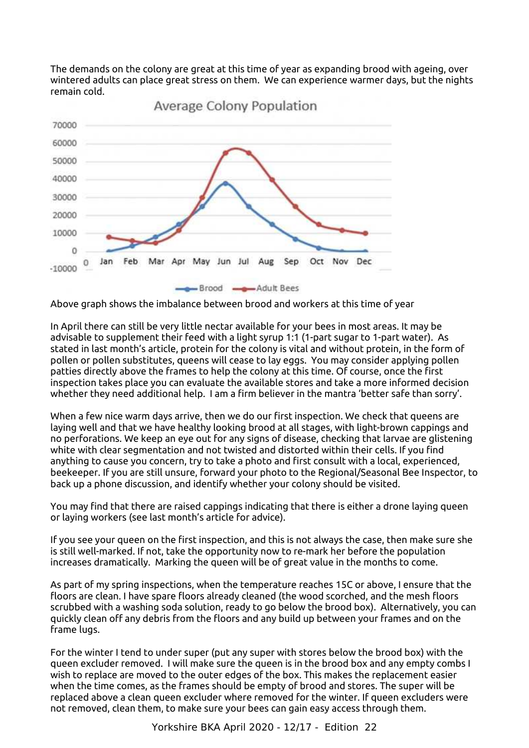The demands on the colony are great at this time of year as expanding brood with ageing, over wintered adults can place great stress on them. We can experience warmer days, but the nights remain cold.



**Average Colony Population** 

Above graph shows the imbalance between brood and workers at this time of year

In April there can still be very little nectar available for your bees in most areas. It may be advisable to supplement their feed with a light syrup 1:1 (1-part sugar to 1-part water). As stated in last month's article, protein for the colony is vital and without protein, in the form of pollen or pollen substitutes, queens will cease to lay eggs. You may consider applying pollen patties directly above the frames to help the colony at this time. Of course, once the first inspection takes place you can evaluate the available stores and take a more informed decision whether they need additional help. I am a firm believer in the mantra 'better safe than sorry'.

When a few nice warm days arrive, then we do our first inspection. We check that queens are laying well and that we have healthy looking brood at all stages, with light-brown cappings and no perforations. We keep an eye out for any signs of disease, checking that larvae are glistening white with clear segmentation and not twisted and distorted within their cells. If you find anything to cause you concern, try to take a photo and first consult with a local, experienced, beekeeper. If you are still unsure, forward your photo to the Regional/Seasonal Bee Inspector, to back up a phone discussion, and identify whether your colony should be visited.

You may find that there are raised cappings indicating that there is either a drone laying queen or laying workers (see last month's article for advice).

If you see your queen on the first inspection, and this is not always the case, then make sure she is still well-marked. If not, take the opportunity now to re-mark her before the population increases dramatically. Marking the queen will be of great value in the months to come.

As part of my spring inspections, when the temperature reaches 15C or above, I ensure that the floors are clean. I have spare floors already cleaned (the wood scorched, and the mesh floors scrubbed with a washing soda solution, ready to go below the brood box). Alternatively, you can quickly clean off any debris from the floors and any build up between your frames and on the frame lugs.

For the winter I tend to under super (put any super with stores below the brood box) with the queen excluder removed. I will make sure the queen is in the brood box and any empty combs I wish to replace are moved to the outer edges of the box. This makes the replacement easier when the time comes, as the frames should be empty of brood and stores. The super will be replaced above a clean queen excluder where removed for the winter. If queen excluders were not removed, clean them, to make sure your bees can gain easy access through them.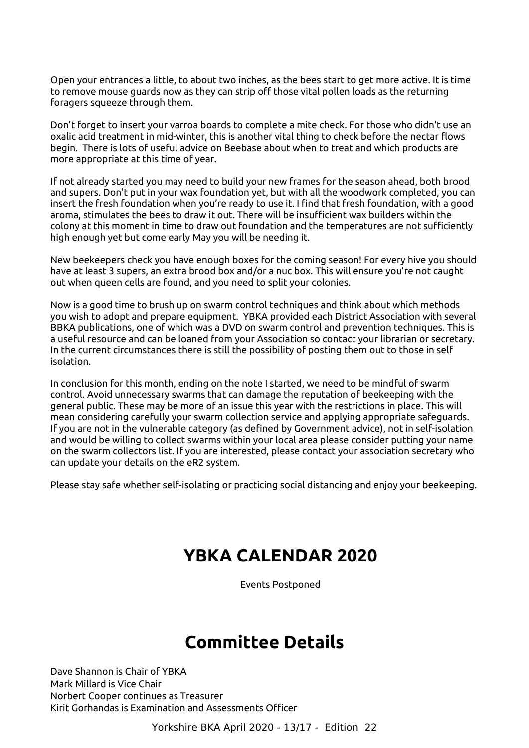Open your entrances a little, to about two inches, as the bees start to get more active. It is time to remove mouse guards now as they can strip off those vital pollen loads as the returning foragers squeeze through them.

Don't forget to insert your varroa boards to complete a mite check. For those who didn't use an oxalic acid treatment in mid-winter, this is another vital thing to check before the nectar flows begin. There is lots of useful advice on Beebase about when to treat and which products are more appropriate at this time of year.

If not already started you may need to build your new frames for the season ahead, both brood and supers. Don't put in your wax foundation yet, but with all the woodwork completed, you can insert the fresh foundation when you're ready to use it. I find that fresh foundation, with a good aroma, stimulates the bees to draw it out. There will be insufficient wax builders within the colony at this moment in time to draw out foundation and the temperatures are not sufficiently high enough yet but come early May you will be needing it.

New beekeepers check you have enough boxes for the coming season! For every hive you should have at least 3 supers, an extra brood box and/or a nuc box. This will ensure you're not caught out when queen cells are found, and you need to split your colonies.

Now is a good time to brush up on swarm control techniques and think about which methods you wish to adopt and prepare equipment. YBKA provided each District Association with several BBKA publications, one of which was a DVD on swarm control and prevention techniques. This is a useful resource and can be loaned from your Association so contact your librarian or secretary. In the current circumstances there is still the possibility of posting them out to those in self isolation.

In conclusion for this month, ending on the note I started, we need to be mindful of swarm control. Avoid unnecessary swarms that can damage the reputation of beekeeping with the general public. These may be more of an issue this year with the restrictions in place. This will mean considering carefully your swarm collection service and applying appropriate safeguards. If you are not in the vulnerable category (as defined by Government advice), not in self-isolation and would be willing to collect swarms within your local area please consider putting your name on the swarm collectors list. If you are interested, please contact your association secretary who can update your details on the eR2 system.

Please stay safe whether self-isolating or practicing social distancing and enjoy your beekeeping.

#### <span id="page-12-1"></span>**YBKA CALENDAR 2020**

Events Postponed

#### <span id="page-12-0"></span>**Committee Details**

Dave Shannon is Chair of YBKA Mark Millard is Vice Chair Norbert Cooper continues as Treasurer Kirit Gorhandas is Examination and Assessments Officer

Yorkshire BKA April 2020 - 13/17 - Edition 22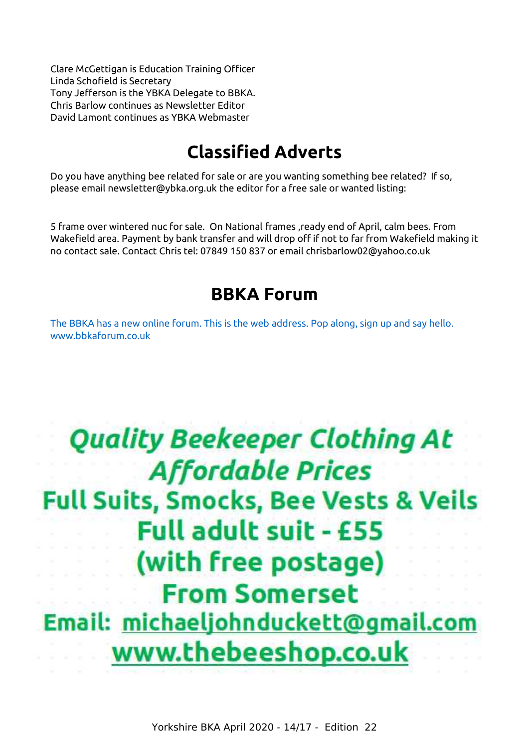Clare McGettigan is Education Training Officer Linda Schofield is Secretary Tony Jefferson is the YBKA Delegate to BBKA. Chris Barlow continues as Newsletter Editor David Lamont continues as YBKA Webmaster

## <span id="page-13-0"></span>**Classified Adverts**

Do you have anything bee related for sale or are you wanting something bee related? If so, please email newsletter@ybka.org.uk the editor for a free sale or wanted listing:

5 frame over wintered nuc for sale. On National frames ,ready end of April, calm bees. From Wakefield area. Payment by bank transfer and will drop off if not to far from Wakefield making it no contact sale. Contact Chris tel: 07849 150 837 or email chrisbarlow02@yahoo.co.uk

#### **BBKA Forum**

[The BBKA has a new online forum. This is the web address. Pop along, sign up and say hello.](http://www.bbkaforum.co.uk/)  [www.bbkaforum.co.uk](http://www.bbkaforum.co.uk/)

## **Quality Beekeeper Clothing At Affordable Prices Full Suits, Smocks, Bee Vests & Veils Full adult suit - £55** (with free postage) **From Somerset** Email: michaeljohnduckett@gmail.com www.thebeeshop.co.uk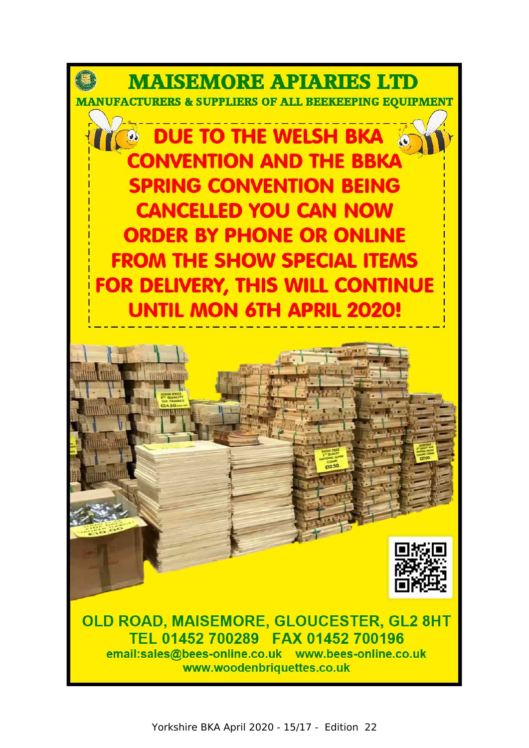



OLD ROAD, MAISEMORE, GLOUCESTER, GL2 8HT TEL 01452 700289 FAX 01452 700196 email:sales@bees-online.co.uk www.bees-online.co.uk www.woodenbriquettes.co.uk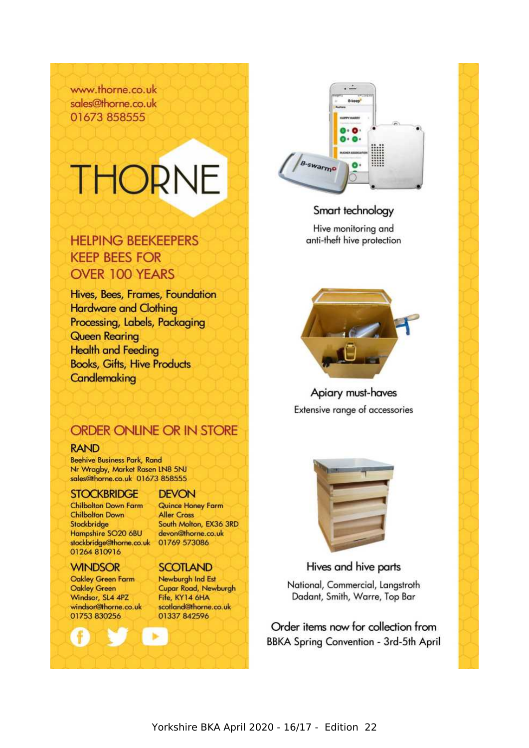www.thorne.co.uk sales@thorne.co.uk 01673858555

# **THORNE**

#### **HELPING BEEKEEPERS KEEP BEES FOR OVER 100 YEARS**

Hives, Bees, Frames, Foundation **Hardware and Clothing** Processing, Labels, Packaging **Queen Rearing Health and Feeding Books, Gifts, Hive Products** Candlemaking

# B-swarmo n.

#### Smart technology

Hive monitoring and anti-theft hive protection



Apiary must-haves Extensive range of accessories

#### ORDER ONLINE OR IN STORE

#### **RAND**

**Beehive Business Park, Rand** Nr Wragby, Market Rasen LN8 5NJ sales@thorne.co.uk 01673 858555

#### **STOCKBRIDGE**

**Chilbolton Down Farm Chilbolton Down** Stockbridge Hampshire SO20 6BU stockbridge@thorne.co.uk 01769 573086 01264 810916

#### **WINDSOR**

Oakley Green Farm **Oakley Green** Windsor, SL4 4PZ windsor@thorne.co.uk 01753 830256

#### **DEVON**

Quince Honey Farm **Aller Cross** South Molton, EX36 3RD devon@thorne.co.uk

#### **SCOTLAND**

Newburgh Ind Est Cupar Road, Newburgh Fife, KY14 6HA scotland@thorne.co.uk 01337 842596



#### Hives and hive parts

National, Commercial, Langstroth Dadant, Smith, Warre, Top Bar

Order items now for collection from BBKA Spring Convention - 3rd-5th April